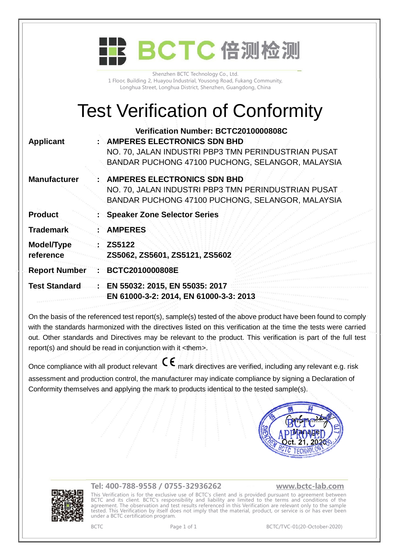|                                        | BCTC 倍测检测                                                                                                                                                                             |
|----------------------------------------|---------------------------------------------------------------------------------------------------------------------------------------------------------------------------------------|
|                                        | Shenzhen BCTC Technology Co., Ltd.<br>1 Floor, Building 2, Huayou Industrial, Yousong Road, Fukang Community,<br>Longhua Street, Longhua District, Shenzhen, Guangdong, China         |
| <b>Test Verification of Conformity</b> |                                                                                                                                                                                       |
| <b>Applicant</b>                       | Verification Number: BCTC2010000808C<br><b>AMPERES ELECTRONICS SDN BHD</b><br>NO. 70, JALAN INDUSTRI PBP3 TMN PERINDUSTRIAN PUSAT<br>BANDAR PUCHONG 47100 PUCHONG, SELANGOR, MALAYSIA |
| <b>Manufacturer</b>                    | <b>AMPERES ELECTRONICS SDN BHD</b><br>NO. 70, JALAN INDUSTRI PBP3 TMN PERINDUSTRIAN PUSAT<br>BANDAR PUCHONG 47100 PUCHONG, SELANGOR, MALAYSIA                                         |
| <b>Product</b>                         | <b>Speaker Zone Selector Series</b>                                                                                                                                                   |
| <b>Trademark</b>                       | <b>AMPERES</b>                                                                                                                                                                        |
| Model/Type<br>reference                | ZS5122<br>ZS5062, ZS5601, ZS5121, ZS5602                                                                                                                                              |
| <b>Report Number</b>                   | BCTC2010000808E                                                                                                                                                                       |
| <b>Test Standard</b>                   | EN 55032: 2015, EN 55035: 2017<br>EN 61000-3-2: 2014, EN 61000-3-3: 2013                                                                                                              |

On the basis of the referenced test report(s), sample(s) tested of the above product have been found to comply with the standards harmonized with the directives listed on this verification at the time the tests were carried out. Other standards and Directives may be relevant to the product. This verification is part of the full test report(s) and should be read in conjunction with it <them>.

Once compliance with all product relevant  $\mathsf{C}\mathsf{\epsilon}$  mark directives are verified, including any relevant e.g. risk assessment and production control, the manufacturer may indicate compliance by signing a Declaration of Conformity themselves and applying the mark to products identical to the tested sample(s).





## **Tel: 400-788-9558 / 0755-32936262 [www.bctc-lab.com](http://www.bctc-lab.com)**

This Verification is for the exclusive use of BCTC's client and is provided pursuant to agreement between BCTC and its client. BCTC's responsibility and liability are limited to the terms and conditions of the agreement. The observation and test results referenced in this Verification are relevant only to the sample tested. This Verification by itself does not imply that the material, product, or service is or has ever been under a BCTC certification program.